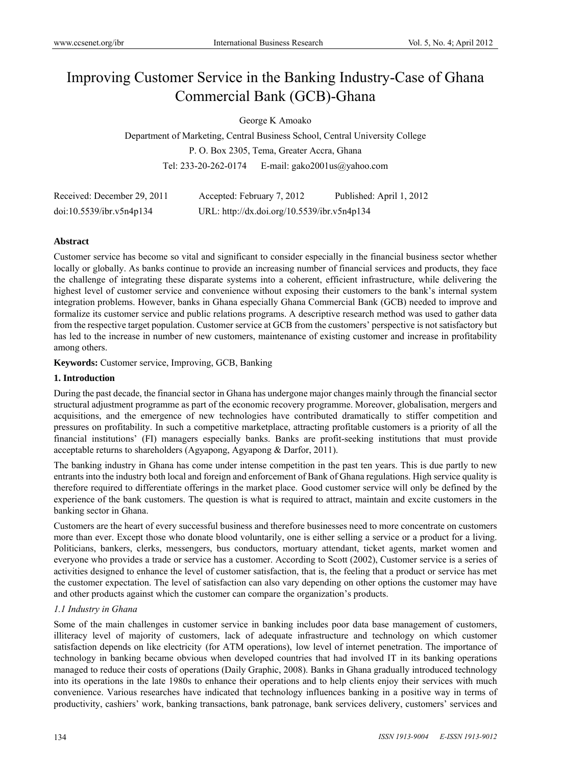# Improving Customer Service in the Banking Industry-Case of Ghana Commercial Bank (GCB)-Ghana

George K Amoako

Department of Marketing, Central Business School, Central University College P. O. Box 2305, Tema, Greater Accra, Ghana Tel: 233-20-262-0174 E-mail: gako2001us@yahoo.com

| Received: December 29, 2011 | Accepted: February 7, 2012                  | Published: April 1, 2012 |
|-----------------------------|---------------------------------------------|--------------------------|
| doi:10.5539/ibr.v5n4p134    | URL: http://dx.doi.org/10.5539/ibr.v5n4p134 |                          |

# **Abstract**

Customer service has become so vital and significant to consider especially in the financial business sector whether locally or globally. As banks continue to provide an increasing number of financial services and products, they face the challenge of integrating these disparate systems into a coherent, efficient infrastructure, while delivering the highest level of customer service and convenience without exposing their customers to the bank's internal system integration problems. However, banks in Ghana especially Ghana Commercial Bank (GCB) needed to improve and formalize its customer service and public relations programs. A descriptive research method was used to gather data from the respective target population. Customer service at GCB from the customers' perspective is not satisfactory but has led to the increase in number of new customers, maintenance of existing customer and increase in profitability among others.

**Keywords:** Customer service, Improving, GCB, Banking

# **1. Introduction**

During the past decade, the financial sector in Ghana has undergone major changes mainly through the financial sector structural adjustment programme as part of the economic recovery programme. Moreover, globalisation, mergers and acquisitions, and the emergence of new technologies have contributed dramatically to stiffer competition and pressures on profitability. In such a competitive marketplace, attracting profitable customers is a priority of all the financial institutions' (FI) managers especially banks. Banks are profit-seeking institutions that must provide acceptable returns to shareholders (Agyapong, Agyapong & Darfor, 2011).

The banking industry in Ghana has come under intense competition in the past ten years. This is due partly to new entrants into the industry both local and foreign and enforcement of Bank of Ghana regulations. High service quality is therefore required to differentiate offerings in the market place. Good customer service will only be defined by the experience of the bank customers. The question is what is required to attract, maintain and excite customers in the banking sector in Ghana.

Customers are the heart of every successful business and therefore businesses need to more concentrate on customers more than ever. Except those who donate blood voluntarily, one is either selling a service or a product for a living. Politicians, bankers, clerks, messengers, bus conductors, mortuary attendant, ticket agents, market women and everyone who provides a trade or service has a customer. According to Scott (2002), Customer service is a series of activities designed to enhance the level of customer satisfaction, that is, the feeling that a product or service has met the customer expectation. The level of satisfaction can also vary depending on other options the customer may have and other products against which the customer can compare the organization's products.

# *1.1 Industry in Ghana*

Some of the main challenges in customer service in banking includes poor data base management of customers, illiteracy level of majority of customers, lack of adequate infrastructure and technology on which customer satisfaction depends on like electricity (for ATM operations), low level of internet penetration. The importance of technology in banking became obvious when developed countries that had involved IT in its banking operations managed to reduce their costs of operations (Daily Graphic, 2008). Banks in Ghana gradually introduced technology into its operations in the late 1980s to enhance their operations and to help clients enjoy their services with much convenience. Various researches have indicated that technology influences banking in a positive way in terms of productivity, cashiers' work, banking transactions, bank patronage, bank services delivery, customers' services and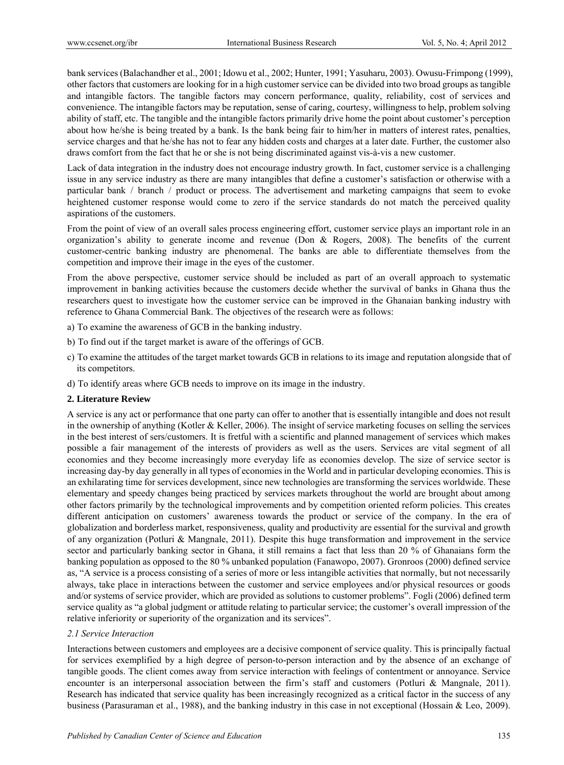bank services (Balachandher et al., 2001; Idowu et al., 2002; Hunter, 1991; Yasuharu, 2003). Owusu-Frimpong (1999), other factors that customers are looking for in a high customer service can be divided into two broad groups as tangible and intangible factors. The tangible factors may concern performance, quality, reliability, cost of services and convenience. The intangible factors may be reputation, sense of caring, courtesy, willingness to help, problem solving ability of staff, etc. The tangible and the intangible factors primarily drive home the point about customer's perception about how he/she is being treated by a bank. Is the bank being fair to him/her in matters of interest rates, penalties, service charges and that he/she has not to fear any hidden costs and charges at a later date. Further, the customer also draws comfort from the fact that he or she is not being discriminated against vis-à-vis a new customer.

Lack of data integration in the industry does not encourage industry growth. In fact, customer service is a challenging issue in any service industry as there are many intangibles that define a customer's satisfaction or otherwise with a particular bank / branch / product or process. The advertisement and marketing campaigns that seem to evoke heightened customer response would come to zero if the service standards do not match the perceived quality aspirations of the customers.

From the point of view of an overall sales process engineering effort, customer service plays an important role in an organization's ability to generate income and revenue (Don & Rogers, 2008). The benefits of the current customer-centric banking industry are phenomenal. The banks are able to differentiate themselves from the competition and improve their image in the eyes of the customer.

From the above perspective, customer service should be included as part of an overall approach to systematic improvement in banking activities because the customers decide whether the survival of banks in Ghana thus the researchers quest to investigate how the customer service can be improved in the Ghanaian banking industry with reference to Ghana Commercial Bank. The objectives of the research were as follows:

- a) To examine the awareness of GCB in the banking industry.
- b) To find out if the target market is aware of the offerings of GCB.
- c) To examine the attitudes of the target market towards GCB in relations to its image and reputation alongside that of its competitors.
- d) To identify areas where GCB needs to improve on its image in the industry.

#### **2. Literature Review**

A service is any act or performance that one party can offer to another that is essentially intangible and does not result in the ownership of anything (Kotler  $&$  Keller, 2006). The insight of service marketing focuses on selling the services in the best interest of sers/customers. It is fretful with a scientific and planned management of services which makes possible a fair management of the interests of providers as well as the users. Services are vital segment of all economies and they become increasingly more everyday life as economies develop. The size of service sector is increasing day-by day generally in all types of economies in the World and in particular developing economies. This is an exhilarating time for services development, since new technologies are transforming the services worldwide. These elementary and speedy changes being practiced by services markets throughout the world are brought about among other factors primarily by the technological improvements and by competition oriented reform policies. This creates different anticipation on customers' awareness towards the product or service of the company. In the era of globalization and borderless market, responsiveness, quality and productivity are essential for the survival and growth of any organization (Potluri & Mangnale, 2011). Despite this huge transformation and improvement in the service sector and particularly banking sector in Ghana, it still remains a fact that less than 20 % of Ghanaians form the banking population as opposed to the 80 % unbanked population (Fanawopo, 2007). Gronroos (2000) defined service as, "A service is a process consisting of a series of more or less intangible activities that normally, but not necessarily always, take place in interactions between the customer and service employees and/or physical resources or goods and/or systems of service provider, which are provided as solutions to customer problems". Fogli (2006) defined term service quality as "a global judgment or attitude relating to particular service; the customer's overall impression of the relative inferiority or superiority of the organization and its services".

#### *2.1 Service Interaction*

Interactions between customers and employees are a decisive component of service quality. This is principally factual for services exemplified by a high degree of person-to-person interaction and by the absence of an exchange of tangible goods. The client comes away from service interaction with feelings of contentment or annoyance. Service encounter is an interpersonal association between the firm's staff and customers (Potluri & Mangnale, 2011). Research has indicated that service quality has been increasingly recognized as a critical factor in the success of any business (Parasuraman et al., 1988), and the banking industry in this case in not exceptional (Hossain & Leo, 2009).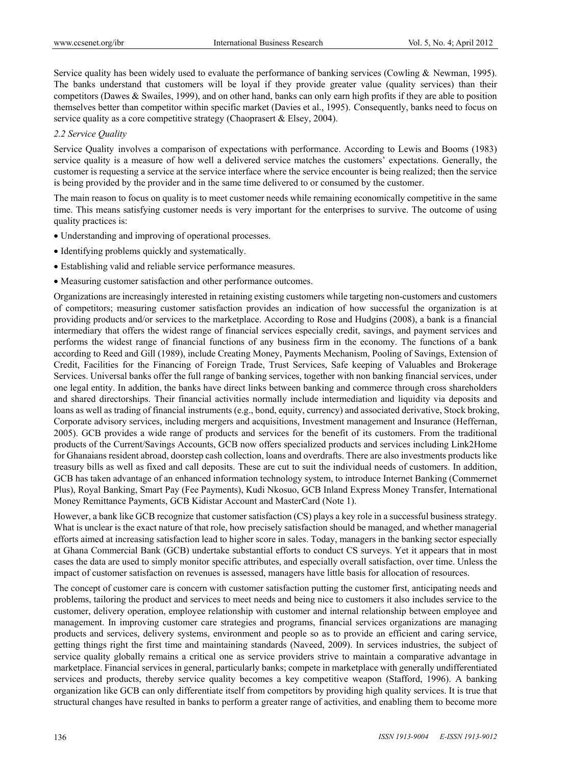Service quality has been widely used to evaluate the performance of banking services (Cowling & Newman, 1995). The banks understand that customers will be loyal if they provide greater value (quality services) than their competitors (Dawes & Swailes, 1999), and on other hand, banks can only earn high profits if they are able to position themselves better than competitor within specific market (Davies et al., 1995). Consequently, banks need to focus on service quality as a core competitive strategy (Chaoprasert & Elsey, 2004).

#### *2.2 Service Quality*

Service Quality involves a comparison of expectations with performance. According to Lewis and Booms (1983) service quality is a measure of how well a delivered service matches the customers' expectations. Generally, the customer is requesting a service at the service interface where the service encounter is being realized; then the service is being provided by the provider and in the same time delivered to or consumed by the customer.

The main reason to focus on quality is to meet customer needs while remaining economically competitive in the same time. This means satisfying customer needs is very important for the enterprises to survive. The outcome of using quality practices is:

- Understanding and improving of operational processes.
- Identifying problems quickly and systematically.
- Establishing valid and reliable service performance measures.
- Measuring customer satisfaction and other performance outcomes.

Organizations are increasingly interested in retaining existing customers while targeting non-customers and customers of competitors; measuring customer satisfaction provides an indication of how successful the organization is at providing products and/or services to the marketplace. According to Rose and Hudgins (2008), a bank is a financial intermediary that offers the widest range of financial services especially credit, savings, and payment services and performs the widest range of financial functions of any business firm in the economy. The functions of a bank according to Reed and Gill (1989), include Creating Money, Payments Mechanism, Pooling of Savings, Extension of Credit, Facilities for the Financing of Foreign Trade, Trust Services, Safe keeping of Valuables and Brokerage Services. Universal banks offer the full range of banking services, together with non banking financial services, under one legal entity. In addition, the banks have direct links between banking and commerce through cross shareholders and shared directorships. Their financial activities normally include intermediation and liquidity via deposits and loans as well as trading of financial instruments (e.g., bond, equity, currency) and associated derivative, Stock broking, Corporate advisory services, including mergers and acquisitions, Investment management and Insurance (Heffernan, 2005). GCB provides a wide range of products and services for the benefit of its customers. From the traditional products of the Current/Savings Accounts, GCB now offers specialized products and services including Link2Home for Ghanaians resident abroad, doorstep cash collection, loans and overdrafts. There are also investments products like treasury bills as well as fixed and call deposits. These are cut to suit the individual needs of customers. In addition, GCB has taken advantage of an enhanced information technology system, to introduce Internet Banking (Commernet Plus), Royal Banking, Smart Pay (Fee Payments), Kudi Nkosuo, GCB Inland Express Money Transfer, International Money Remittance Payments, GCB Kidistar Account and MasterCard (Note 1).

However, a bank like GCB recognize that customer satisfaction (CS) plays a key role in a successful business strategy. What is unclear is the exact nature of that role, how precisely satisfaction should be managed, and whether managerial efforts aimed at increasing satisfaction lead to higher score in sales. Today, managers in the banking sector especially at Ghana Commercial Bank (GCB) undertake substantial efforts to conduct CS surveys. Yet it appears that in most cases the data are used to simply monitor specific attributes, and especially overall satisfaction, over time. Unless the impact of customer satisfaction on revenues is assessed, managers have little basis for allocation of resources.

The concept of customer care is concern with customer satisfaction putting the customer first, anticipating needs and problems, tailoring the product and services to meet needs and being nice to customers it also includes service to the customer, delivery operation, employee relationship with customer and internal relationship between employee and management. In improving customer care strategies and programs, financial services organizations are managing products and services, delivery systems, environment and people so as to provide an efficient and caring service, getting things right the first time and maintaining standards (Naveed, 2009). In services industries, the subject of service quality globally remains a critical one as service providers strive to maintain a comparative advantage in marketplace. Financial services in general, particularly banks; compete in marketplace with generally undifferentiated services and products, thereby service quality becomes a key competitive weapon (Stafford, 1996). A banking organization like GCB can only differentiate itself from competitors by providing high quality services. It is true that structural changes have resulted in banks to perform a greater range of activities, and enabling them to become more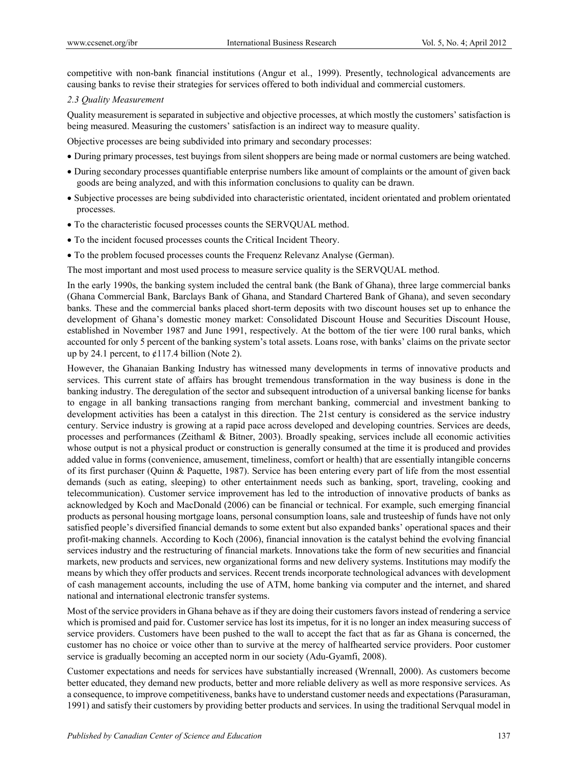competitive with non-bank financial institutions (Angur et al., 1999). Presently, technological advancements are causing banks to revise their strategies for services offered to both individual and commercial customers.

#### *2.3 Quality Measurement*

Quality measurement is separated in subjective and objective processes, at which mostly the customers' satisfaction is being measured. Measuring the customers' satisfaction is an indirect way to measure quality.

Objective processes are being subdivided into primary and secondary processes:

- During primary processes, test buyings from silent shoppers are being made or normal customers are being watched.
- During secondary processes quantifiable enterprise numbers like amount of complaints or the amount of given back goods are being analyzed, and with this information conclusions to quality can be drawn.
- Subjective processes are being subdivided into characteristic orientated, incident orientated and problem orientated processes.
- To the characteristic focused processes counts the SERVQUAL method.
- To the incident focused processes counts the Critical Incident Theory.
- To the problem focused processes counts the Frequenz Relevanz Analyse (German).

The most important and most used process to measure service quality is the SERVQUAL method.

In the early 1990s, the banking system included the central bank (the Bank of Ghana), three large commercial banks (Ghana Commercial Bank, Barclays Bank of Ghana, and Standard Chartered Bank of Ghana), and seven secondary banks. These and the commercial banks placed short-term deposits with two discount houses set up to enhance the development of Ghana's domestic money market: Consolidated Discount House and Securities Discount House, established in November 1987 and June 1991, respectively. At the bottom of the tier were 100 rural banks, which accounted for only 5 percent of the banking system's total assets. Loans rose, with banks' claims on the private sector up by 24.1 percent, to  $\mathcal{L}117.4$  billion (Note 2).

However, the Ghanaian Banking Industry has witnessed many developments in terms of innovative products and services. This current state of affairs has brought tremendous transformation in the way business is done in the banking industry. The deregulation of the sector and subsequent introduction of a universal banking license for banks to engage in all banking transactions ranging from merchant banking, commercial and investment banking to development activities has been a catalyst in this direction. The 21st century is considered as the service industry century. Service industry is growing at a rapid pace across developed and developing countries. Services are deeds, processes and performances (Zeithaml & Bitner, 2003). Broadly speaking, services include all economic activities whose output is not a physical product or construction is generally consumed at the time it is produced and provides added value in forms (convenience, amusement, timeliness, comfort or health) that are essentially intangible concerns of its first purchaser (Quinn & Paquette, 1987). Service has been entering every part of life from the most essential demands (such as eating, sleeping) to other entertainment needs such as banking, sport, traveling, cooking and telecommunication). Customer service improvement has led to the introduction of innovative products of banks as acknowledged by Koch and MacDonald (2006) can be financial or technical. For example, such emerging financial products as personal housing mortgage loans, personal consumption loans, sale and trusteeship of funds have not only satisfied people's diversified financial demands to some extent but also expanded banks' operational spaces and their profit-making channels. According to Koch (2006), financial innovation is the catalyst behind the evolving financial services industry and the restructuring of financial markets. Innovations take the form of new securities and financial markets, new products and services, new organizational forms and new delivery systems. Institutions may modify the means by which they offer products and services. Recent trends incorporate technological advances with development of cash management accounts, including the use of ATM, home banking via computer and the internet, and shared national and international electronic transfer systems.

Most of the service providers in Ghana behave as if they are doing their customers favors instead of rendering a service which is promised and paid for. Customer service has lost its impetus, for it is no longer an index measuring success of service providers. Customers have been pushed to the wall to accept the fact that as far as Ghana is concerned, the customer has no choice or voice other than to survive at the mercy of halfhearted service providers. Poor customer service is gradually becoming an accepted norm in our society (Adu-Gyamfi, 2008).

Customer expectations and needs for services have substantially increased (Wrennall, 2000). As customers become better educated, they demand new products, better and more reliable delivery as well as more responsive services. As a consequence, to improve competitiveness, banks have to understand customer needs and expectations (Parasuraman, 1991) and satisfy their customers by providing better products and services. In using the traditional Servqual model in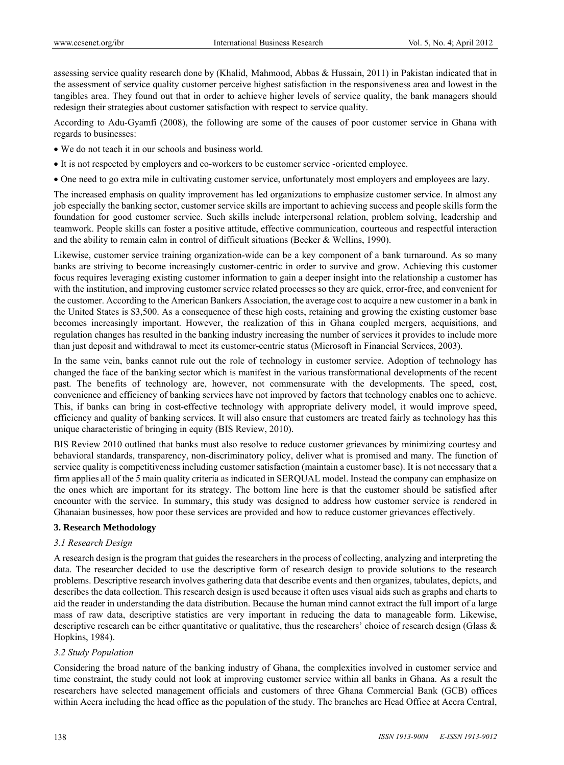assessing service quality research done by (Khalid, Mahmood, Abbas & Hussain, 2011) in Pakistan indicated that in the assessment of service quality customer perceive highest satisfaction in the responsiveness area and lowest in the tangibles area. They found out that in order to achieve higher levels of service quality, the bank managers should redesign their strategies about customer satisfaction with respect to service quality.

According to Adu-Gyamfi (2008), the following are some of the causes of poor customer service in Ghana with regards to businesses:

- We do not teach it in our schools and business world.
- It is not respected by employers and co-workers to be customer service -oriented employee.
- One need to go extra mile in cultivating customer service, unfortunately most employers and employees are lazy.

The increased emphasis on quality improvement has led organizations to emphasize customer service. In almost any job especially the banking sector, customer service skills are important to achieving success and people skills form the foundation for good customer service. Such skills include interpersonal relation, problem solving, leadership and teamwork. People skills can foster a positive attitude, effective communication, courteous and respectful interaction and the ability to remain calm in control of difficult situations (Becker & Wellins, 1990).

Likewise, customer service training organization-wide can be a key component of a bank turnaround. As so many banks are striving to become increasingly customer-centric in order to survive and grow. Achieving this customer focus requires leveraging existing customer information to gain a deeper insight into the relationship a customer has with the institution, and improving customer service related processes so they are quick, error-free, and convenient for the customer. According to the American Bankers Association, the average cost to acquire a new customer in a bank in the United States is \$3,500. As a consequence of these high costs, retaining and growing the existing customer base becomes increasingly important. However, the realization of this in Ghana coupled mergers, acquisitions, and regulation changes has resulted in the banking industry increasing the number of services it provides to include more than just deposit and withdrawal to meet its customer-centric status (Microsoft in Financial Services, 2003).

In the same vein, banks cannot rule out the role of technology in customer service. Adoption of technology has changed the face of the banking sector which is manifest in the various transformational developments of the recent past. The benefits of technology are, however, not commensurate with the developments. The speed, cost, convenience and efficiency of banking services have not improved by factors that technology enables one to achieve. This, if banks can bring in cost-effective technology with appropriate delivery model, it would improve speed, efficiency and quality of banking services. It will also ensure that customers are treated fairly as technology has this unique characteristic of bringing in equity (BIS Review, 2010).

BIS Review 2010 outlined that banks must also resolve to reduce customer grievances by minimizing courtesy and behavioral standards, transparency, non-discriminatory policy, deliver what is promised and many. The function of service quality is competitiveness including customer satisfaction (maintain a customer base). It is not necessary that a firm applies all of the 5 main quality criteria as indicated in SERQUAL model. Instead the company can emphasize on the ones which are important for its strategy. The bottom line here is that the customer should be satisfied after encounter with the service. In summary, this study was designed to address how customer service is rendered in Ghanaian businesses, how poor these services are provided and how to reduce customer grievances effectively.

# **3. Research Methodology**

#### *3.1 Research Design*

A research design is the program that guides the researchers in the process of collecting, analyzing and interpreting the data. The researcher decided to use the descriptive form of research design to provide solutions to the research problems. Descriptive research involves gathering data that describe events and then organizes, tabulates, depicts, and describes the data collection. This research design is used because it often uses visual aids such as graphs and charts to aid the reader in understanding the data distribution. Because the human mind cannot extract the full import of a large mass of raw data, descriptive statistics are very important in reducing the data to manageable form. Likewise, descriptive research can be either quantitative or qualitative, thus the researchers' choice of research design (Glass & Hopkins, 1984).

#### *3.2 Study Population*

Considering the broad nature of the banking industry of Ghana, the complexities involved in customer service and time constraint, the study could not look at improving customer service within all banks in Ghana. As a result the researchers have selected management officials and customers of three Ghana Commercial Bank (GCB) offices within Accra including the head office as the population of the study. The branches are Head Office at Accra Central,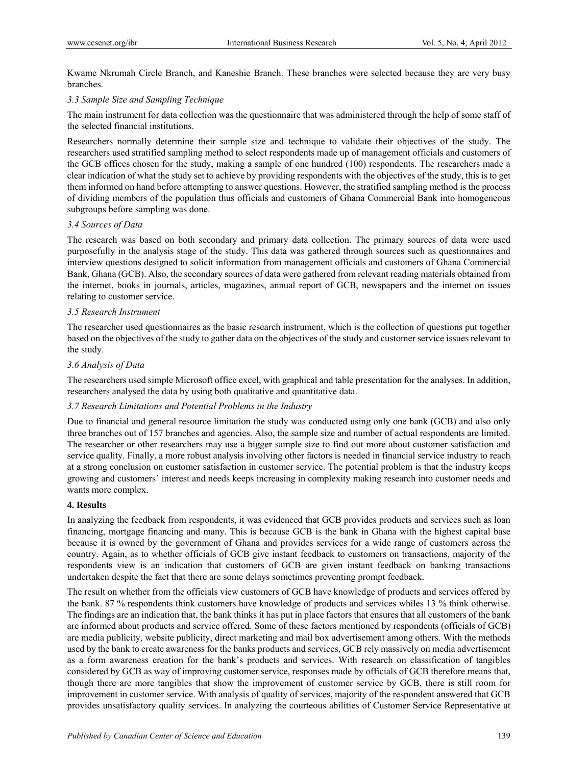Kwame Nkrumah Circle Branch, and Kaneshie Branch. These branches were selected because they are very busy branches.

#### *3.3 Sample Size and Sampling Technique*

The main instrument for data collection was the questionnaire that was administered through the help of some staff of the selected financial institutions.

Researchers normally determine their sample size and technique to validate their objectives of the study. The researchers used stratified sampling method to select respondents made up of management officials and customers of the GCB offices chosen for the study, making a sample of one hundred (100) respondents. The researchers made a clear indication of what the study set to achieve by providing respondents with the objectives of the study, this is to get them informed on hand before attempting to answer questions. However, the stratified sampling method is the process of dividing members of the population thus officials and customers of Ghana Commercial Bank into homogeneous subgroups before sampling was done.

#### *3.4 Sources of Data*

The research was based on both secondary and primary data collection. The primary sources of data were used purposefully in the analysis stage of the study. This data was gathered through sources such as questionnaires and interview questions designed to solicit information from management officials and customers of Ghana Commercial Bank, Ghana (GCB). Also, the secondary sources of data were gathered from relevant reading materials obtained from the internet, books in journals, articles, magazines, annual report of GCB, newspapers and the internet on issues relating to customer service.

#### *3.5 Research Instrument*

The researcher used questionnaires as the basic research instrument, which is the collection of questions put together based on the objectives of the study to gather data on the objectives of the study and customer service issues relevant to the study.

#### *3.6 Analysis of Data*

The researchers used simple Microsoft office excel, with graphical and table presentation for the analyses. In addition, researchers analysed the data by using both qualitative and quantitative data.

#### *3.7 Research Limitations and Potential Problems in the Industry*

Due to financial and general resource limitation the study was conducted using only one bank (GCB) and also only three branches out of 157 branches and agencies. Also, the sample size and number of actual respondents are limited. The researcher or other researchers may use a bigger sample size to find out more about customer satisfaction and service quality. Finally, a more robust analysis involving other factors is needed in financial service industry to reach at a strong conclusion on customer satisfaction in customer service. The potential problem is that the industry keeps growing and customers' interest and needs keeps increasing in complexity making research into customer needs and wants more complex.

#### **4. Results**

In analyzing the feedback from respondents, it was evidenced that GCB provides products and services such as loan financing, mortgage financing and many. This is because GCB is the bank in Ghana with the highest capital base because it is owned by the government of Ghana and provides services for a wide range of customers across the country. Again, as to whether officials of GCB give instant feedback to customers on transactions, majority of the respondents view is an indication that customers of GCB are given instant feedback on banking transactions undertaken despite the fact that there are some delays sometimes preventing prompt feedback.

The result on whether from the officials view customers of GCB have knowledge of products and services offered by the bank. 87 % respondents think customers have knowledge of products and services whiles 13 % think otherwise. The findings are an indication that, the bank thinks it has put in place factors that ensures that all customers of the bank are informed about products and service offered. Some of these factors mentioned by respondents (officials of GCB) are media publicity, website publicity, direct marketing and mail box advertisement among others. With the methods used by the bank to create awareness for the banks products and services, GCB rely massively on media advertisement as a form awareness creation for the bank's products and services. With research on classification of tangibles considered by GCB as way of improving customer service, responses made by officials of GCB therefore means that, though there are more tangibles that show the improvement of customer service by GCB, there is still room for improvement in customer service. With analysis of quality of services, majority of the respondent answered that GCB provides unsatisfactory quality services. In analyzing the courteous abilities of Customer Service Representative at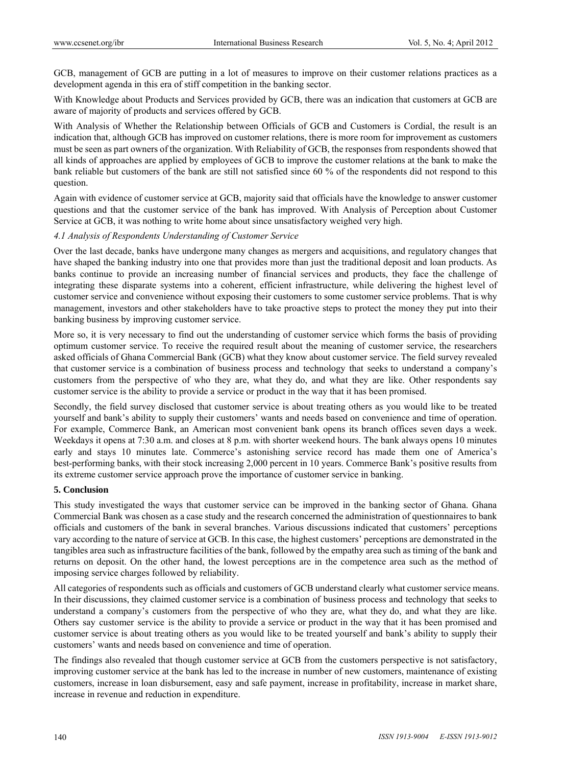GCB, management of GCB are putting in a lot of measures to improve on their customer relations practices as a development agenda in this era of stiff competition in the banking sector.

With Knowledge about Products and Services provided by GCB, there was an indication that customers at GCB are aware of majority of products and services offered by GCB.

With Analysis of Whether the Relationship between Officials of GCB and Customers is Cordial, the result is an indication that, although GCB has improved on customer relations, there is more room for improvement as customers must be seen as part owners of the organization. With Reliability of GCB, the responses from respondents showed that all kinds of approaches are applied by employees of GCB to improve the customer relations at the bank to make the bank reliable but customers of the bank are still not satisfied since 60 % of the respondents did not respond to this question.

Again with evidence of customer service at GCB, majority said that officials have the knowledge to answer customer questions and that the customer service of the bank has improved. With Analysis of Perception about Customer Service at GCB, it was nothing to write home about since unsatisfactory weighed very high.

#### *4.1 Analysis of Respondents Understanding of Customer Service*

Over the last decade, banks have undergone many changes as mergers and acquisitions, and regulatory changes that have shaped the banking industry into one that provides more than just the traditional deposit and loan products. As banks continue to provide an increasing number of financial services and products, they face the challenge of integrating these disparate systems into a coherent, efficient infrastructure, while delivering the highest level of customer service and convenience without exposing their customers to some customer service problems. That is why management, investors and other stakeholders have to take proactive steps to protect the money they put into their banking business by improving customer service.

More so, it is very necessary to find out the understanding of customer service which forms the basis of providing optimum customer service. To receive the required result about the meaning of customer service, the researchers asked officials of Ghana Commercial Bank (GCB) what they know about customer service. The field survey revealed that customer service is a combination of business process and technology that seeks to understand a company's customers from the perspective of who they are, what they do, and what they are like. Other respondents say customer service is the ability to provide a service or product in the way that it has been promised.

Secondly, the field survey disclosed that customer service is about treating others as you would like to be treated yourself and bank's ability to supply their customers' wants and needs based on convenience and time of operation. For example, Commerce Bank, an American most convenient bank opens its branch offices seven days a week. Weekdays it opens at 7:30 a.m. and closes at 8 p.m. with shorter weekend hours. The bank always opens 10 minutes early and stays 10 minutes late. Commerce's astonishing service record has made them one of America's best-performing banks, with their stock increasing 2,000 percent in 10 years. Commerce Bank's positive results from its extreme customer service approach prove the importance of customer service in banking.

#### **5. Conclusion**

This study investigated the ways that customer service can be improved in the banking sector of Ghana. Ghana Commercial Bank was chosen as a case study and the research concerned the administration of questionnaires to bank officials and customers of the bank in several branches. Various discussions indicated that customers' perceptions vary according to the nature of service at GCB. In this case, the highest customers' perceptions are demonstrated in the tangibles area such as infrastructure facilities of the bank, followed by the empathy area such as timing of the bank and returns on deposit. On the other hand, the lowest perceptions are in the competence area such as the method of imposing service charges followed by reliability.

All categories of respondents such as officials and customers of GCB understand clearly what customer service means. In their discussions, they claimed customer service is a combination of business process and technology that seeks to understand a company's customers from the perspective of who they are, what they do, and what they are like. Others say customer service is the ability to provide a service or product in the way that it has been promised and customer service is about treating others as you would like to be treated yourself and bank's ability to supply their customers' wants and needs based on convenience and time of operation.

The findings also revealed that though customer service at GCB from the customers perspective is not satisfactory, improving customer service at the bank has led to the increase in number of new customers, maintenance of existing customers, increase in loan disbursement, easy and safe payment, increase in profitability, increase in market share, increase in revenue and reduction in expenditure.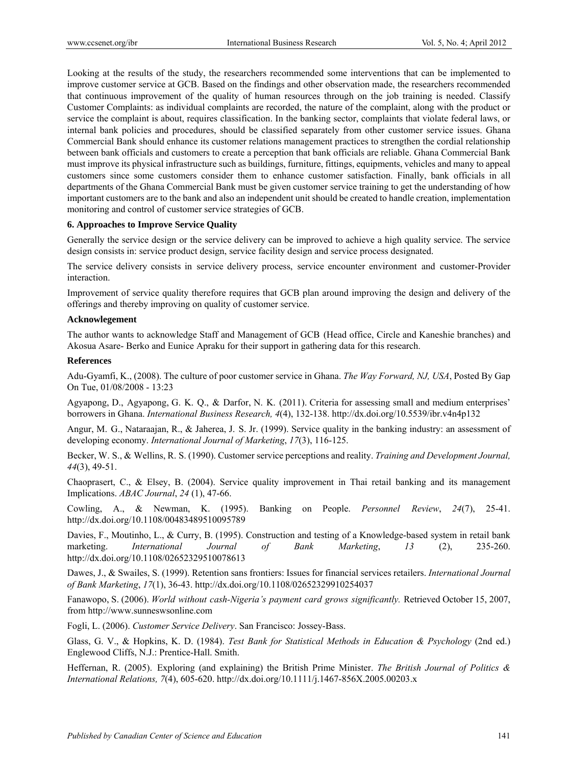Looking at the results of the study, the researchers recommended some interventions that can be implemented to improve customer service at GCB. Based on the findings and other observation made, the researchers recommended that continuous improvement of the quality of human resources through on the job training is needed. Classify Customer Complaints: as individual complaints are recorded, the nature of the complaint, along with the product or service the complaint is about, requires classification. In the banking sector, complaints that violate federal laws, or internal bank policies and procedures, should be classified separately from other customer service issues. Ghana Commercial Bank should enhance its customer relations management practices to strengthen the cordial relationship between bank officials and customers to create a perception that bank officials are reliable. Ghana Commercial Bank must improve its physical infrastructure such as buildings, furniture, fittings, equipments, vehicles and many to appeal customers since some customers consider them to enhance customer satisfaction. Finally, bank officials in all departments of the Ghana Commercial Bank must be given customer service training to get the understanding of how important customers are to the bank and also an independent unit should be created to handle creation, implementation monitoring and control of customer service strategies of GCB.

#### **6. Approaches to Improve Service Quality**

Generally the service design or the service delivery can be improved to achieve a high quality service. The service design consists in: service product design, service facility design and service process designated.

The service delivery consists in service delivery process, service encounter environment and customer-Provider interaction.

Improvement of service quality therefore requires that GCB plan around improving the design and delivery of the offerings and thereby improving on quality of customer service.

#### **Acknowlegement**

The author wants to acknowledge Staff and Management of GCB (Head office, Circle and Kaneshie branches) and Akosua Asare- Berko and Eunice Apraku for their support in gathering data for this research.

#### **References**

Adu-Gyamfi, K., (2008). The culture of poor customer service in Ghana. *The Way Forward, NJ, USA*, Posted By Gap On Tue, 01/08/2008 - 13:23

Agyapong, D., Agyapong, G. K. Q., & Darfor, N. K. (2011). Criteria for assessing small and medium enterprises' borrowers in Ghana. *International Business Research, 4*(4), 132-138. http://dx.doi.org/10.5539/ibr.v4n4p132

Angur, M. G., Nataraajan, R., & Jaherea, J. S. Jr. (1999). Service quality in the banking industry: an assessment of developing economy. *International Journal of Marketing*, *17*(3), 116-125.

Becker, W. S., & Wellins, R. S. (1990). Customer service perceptions and reality. *Training and Development Journal, 44*(3), 49-51.

Chaoprasert, C., & Elsey, B. (2004). Service quality improvement in Thai retail banking and its management Implications. *ABAC Journal*, *24* (1), 47-66.

Cowling, A., & Newman, K. (1995). Banking on People. *Personnel Review*, *24*(7), 25-41. http://dx.doi.org/10.1108/00483489510095789

Davies, F., Moutinho, L., & Curry, B. (1995). Construction and testing of a Knowledge-based system in retail bank marketing. *International Journal of Bank Marketing*, *13* (2), 235-260. http://dx.doi.org/10.1108/02652329510078613

Dawes, J., & Swailes, S. (1999). Retention sans frontiers: Issues for financial services retailers. *International Journal of Bank Marketing*, *17*(1), 36-43. http://dx.doi.org/10.1108/02652329910254037

Fanawopo, S. (2006). *World without cash-Nigeria's payment card grows significantly.* Retrieved October 15, 2007, from http://www.sunneswsonline.com

Fogli, L. (2006). *Customer Service Delivery*. San Francisco: Jossey-Bass.

Glass, G. V., & Hopkins, K. D. (1984). *Test Bank for Statistical Methods in Education & Psychology* (2nd ed.) Englewood Cliffs, N.J.: Prentice-Hall. Smith.

Heffernan, R. (2005). Exploring (and explaining) the British Prime Minister. *The British Journal of Politics & International Relations, 7*(4), 605-620. http://dx.doi.org/10.1111/j.1467-856X.2005.00203.x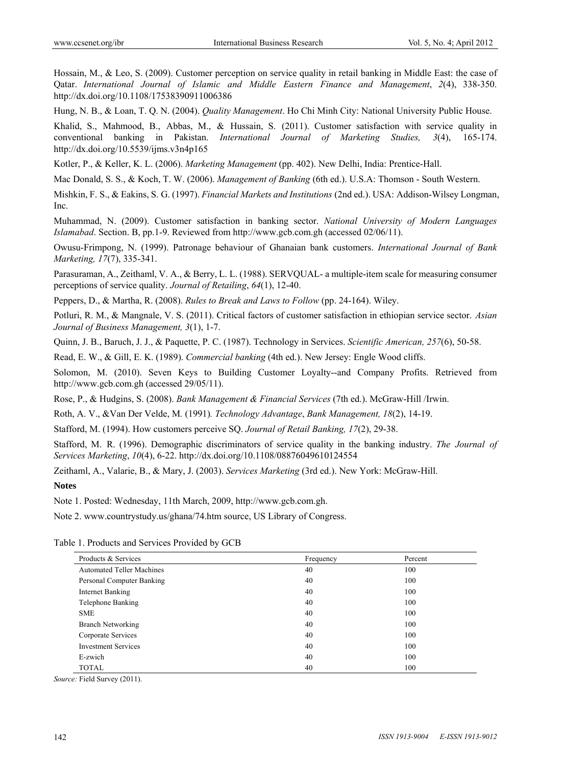Hossain, M., & Leo, S. (2009). Customer perception on service quality in retail banking in Middle East: the case of Qatar. *International Journal of Islamic and Middle Eastern Finance and Management*, *2*(4), 338-350. http://dx.doi.org/10.1108/17538390911006386

Hung, N. B., & Loan, T. Q. N. (2004). *Quality Management*. Ho Chi Minh City: National University Public House.

Khalid, S., Mahmood, B., Abbas, M., & Hussain, S. (2011). Customer satisfaction with service quality in conventional banking in Pakistan. *International Journal of Marketing Studies, 3*(4), 165-174. http://dx.doi.org/10.5539/ijms.v3n4p165

Kotler, P., & Keller, K. L. (2006). *Marketing Management* (pp. 402). New Delhi, India: Prentice-Hall.

Mac Donald, S. S., & Koch, T. W. (2006). *Management of Banking* (6th ed.). U.S.A: Thomson - South Western.

Mishkin, F. S., & Eakins, S. G. (1997). *Financial Markets and Institutions* (2nd ed.). USA: Addison-Wilsey Longman, Inc.

Muhammad, N. (2009). Customer satisfaction in banking sector. *National University of Modern Languages Islamabad*. Section. B, pp.1-9. Reviewed from http://www.gcb.com.gh (accessed 02/06/11).

Owusu-Frimpong, N. (1999). Patronage behaviour of Ghanaian bank customers. *International Journal of Bank Marketing, 17*(7), 335-341.

Parasuraman, A., Zeithaml, V. A., & Berry, L. L. (1988). SERVQUAL- a multiple-item scale for measuring consumer perceptions of service quality. *Journal of Retailing*, *64*(1), 12-40.

Peppers, D., & Martha, R. (2008). *Rules to Break and Laws to Follow* (pp. 24-164). Wiley.

Potluri, R. M., & Mangnale, V. S. (2011). Critical factors of customer satisfaction in ethiopian service sector. *Asian Journal of Business Management, 3*(1), 1-7.

Quinn, J. B., Baruch, J. J., & Paquette, P. C. (1987). Technology in Services. *Scientific American, 257*(6), 50-58.

Read, E. W., & Gill, E. K. (1989). *Commercial banking* (4th ed.). New Jersey: Engle Wood cliffs.

Solomon, M. (2010). Seven Keys to Building Customer Loyalty--and Company Profits. Retrieved from http://www.gcb.com.gh (accessed 29/05/11).

Rose, P., & Hudgins, S. (2008). *Bank Management & Financial Services* (7th ed.). McGraw-Hill /Irwin.

Roth, A. V., &Van Der Velde, M*.* (1991)*. Technology Advantage*, *Bank Management, 18*(2), 14-19.

Stafford, M. (1994). How customers perceive SQ. *Journal of Retail Banking, 17*(2), 29-38.

Stafford, M. R. (1996). Demographic discriminators of service quality in the banking industry. *The Journal of Services Marketing*, *10*(4), 6-22. http://dx.doi.org/10.1108/08876049610124554

Zeithaml, A., Valarie, B., & Mary, J. (2003). *Services Marketing* (3rd ed.). New York: McGraw-Hill.

**Notes** 

Note 1. Posted: Wednesday, 11th March, 2009, http://www.gcb.com.gh.

Note 2. www.countrystudy.us/ghana/74.htm source, US Library of Congress.

Table 1. Products and Services Provided by GCB

| Products & Services              | Frequency | Percent |
|----------------------------------|-----------|---------|
| <b>Automated Teller Machines</b> | 40        | 100     |
| Personal Computer Banking        | 40        | 100     |
| <b>Internet Banking</b>          | 40        | 100     |
| Telephone Banking                | 40        | 100     |
| <b>SME</b>                       | 40        | 100     |
| <b>Branch Networking</b>         | 40        | 100     |
| Corporate Services               | 40        | 100     |
| <b>Investment Services</b>       | 40        | 100     |
| E-zwich                          | 40        | 100     |
| <b>TOTAL</b>                     | 40        | 100     |

*Source:* Field Survey (2011).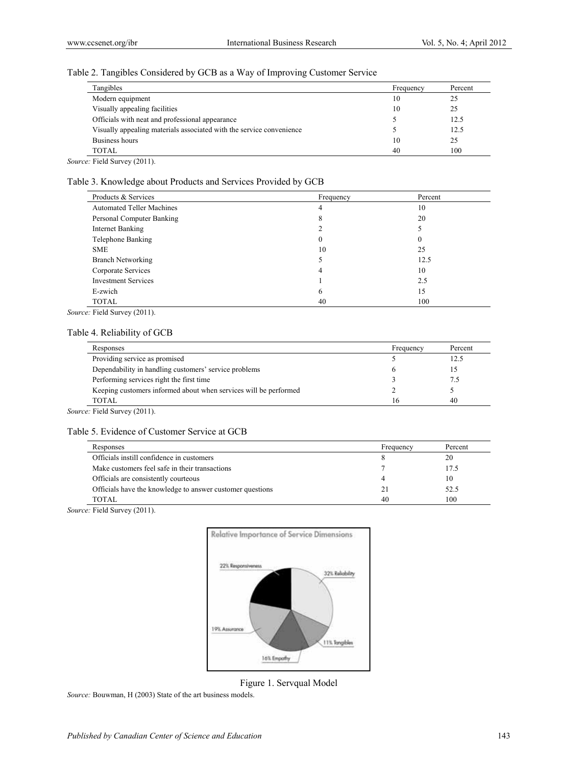#### Table 2. Tangibles Considered by GCB as a Way of Improving Customer Service

| Tangibles                                                            | Frequency | Percent |
|----------------------------------------------------------------------|-----------|---------|
| Modern equipment                                                     | 10        | 25      |
| Visually appealing facilities                                        | 10        | 25      |
| Officials with neat and professional appearance                      |           | 12.5    |
| Visually appealing materials associated with the service convenience |           | 12.5    |
| Business hours                                                       | 10        | 25      |
| <b>TOTAL</b>                                                         | 40        | 100     |

*Source:* Field Survey (2011).

# Table 3. Knowledge about Products and Services Provided by GCB

| Products & Services              | Frequency | Percent |
|----------------------------------|-----------|---------|
| <b>Automated Teller Machines</b> | 4         | 10      |
| Personal Computer Banking        | 8         | 20      |
| Internet Banking                 |           |         |
| Telephone Banking                |           | 0       |
| <b>SME</b>                       | 10        | 25      |
| <b>Branch Networking</b>         |           | 12.5    |
| Corporate Services               | 4         | 10      |
| <b>Investment Services</b>       |           | 2.5     |
| E-zwich                          | 6         | 15      |
| <b>TOTAL</b>                     | 40        | 100     |

*Source:* Field Survey (2011).

#### Table 4. Reliability of GCB

| Responses                                                        | Frequency | Percent |
|------------------------------------------------------------------|-----------|---------|
| Providing service as promised                                    |           | 12.5    |
| Dependability in handling customers' service problems            |           |         |
| Performing services right the first time                         |           | 7.5     |
| Keeping customers informed about when services will be performed |           |         |
| <b>TOTAL</b>                                                     | 16        | 40      |

*Source:* Field Survey (2011).

#### Table 5. Evidence of Customer Service at GCB

| Responses                                                 | Frequency | Percent |
|-----------------------------------------------------------|-----------|---------|
| Officials instill confidence in customers                 |           | 20      |
| Make customers feel safe in their transactions            |           | 17.5    |
| Officials are consistently courteous                      |           | 10      |
| Officials have the knowledge to answer customer questions | 21        | 52.5    |
| TOTAL                                                     | 40        | 100     |

*Source:* Field Survey (2011).



Figure 1. Servqual Model

*Source:* Bouwman, H (2003) State of the art business models.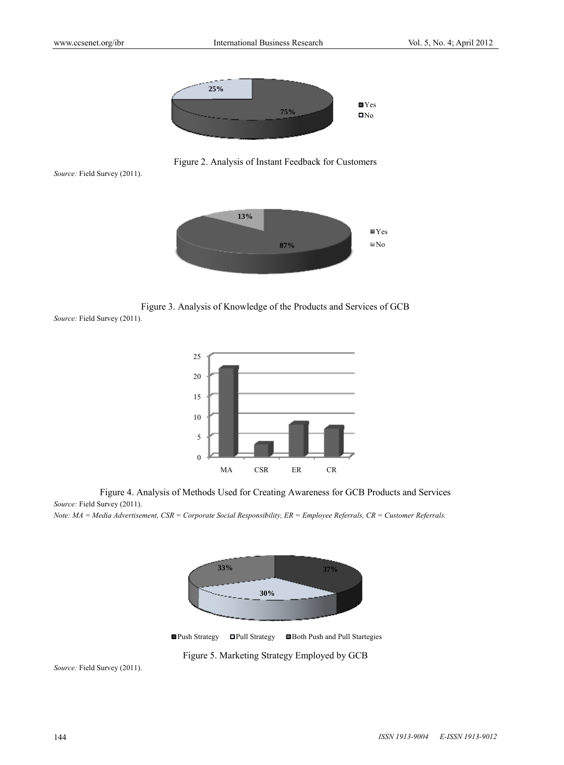

Figure 2. Analysis of Instant Feedback for Customers

Source: Field Survey (2011).



Figure 3. Analysis of Knowledge of the Products and Services of GCB

Source: Field Survey (2011).



Figure 4. Analysis of Methods Used for Creating Awareness for GCB Products and Services Source: Field Survey (2011).

*Note: MA* = Media Advertisement, CSR = Corporate Social Responsibility, ER = Employee Referrals, CR = Customer Referrals.



■Push Strategy ■Pull Strategy egy ■ Both Push and Pull Startegies

Figure 5. Marketing Strategy Employed by GCB

Source: Field Survey (2011).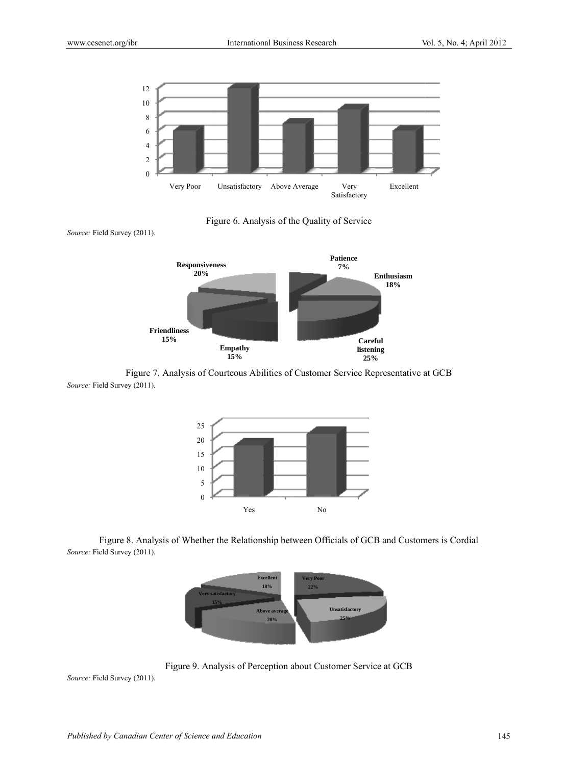

Figure 6. Analysis of the Quality of Service

Source: Field Survey (2011).



Source: Field Survey (2011). Figure 7. Analysis of Courteous Abilities of Customer Service Representative at GCB



Figure 8. Analysis of Whether the Relationship between Officials of GCB and Customers is Cordial Source: Field Survey (2011).



Figure 9. Analysis of Perception about Customer Service at GCB

Source: Field Survey (2011).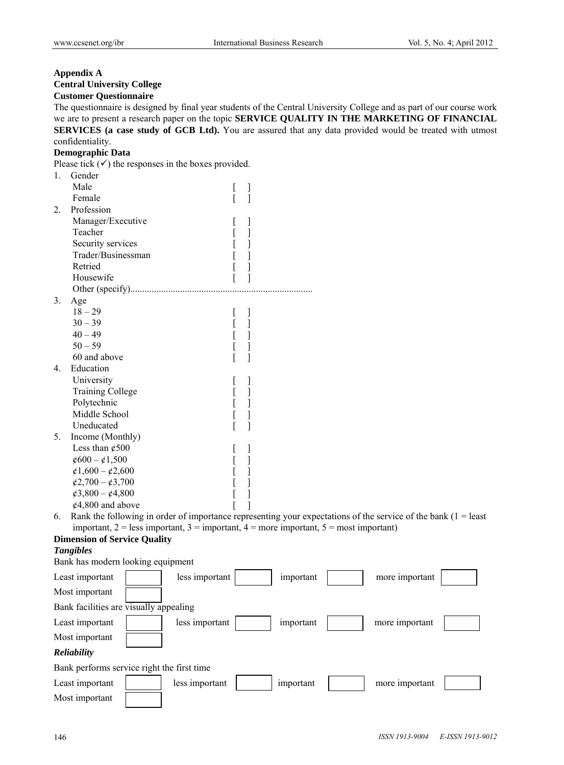# **Appendix A Central University College**

**Customer Questionnaire** 

The questionnaire is designed by final year students of the Central University College and as part of our course work we are to present a research paper on the topic **SERVICE QUALITY IN THE MARKETING OF FINANCIAL SERVICES (a case study of GCB Ltd).** You are assured that any data provided would be treated with utmost confidentiality.

#### **Demographic Data**

Please tick  $(\checkmark)$  the responses in the boxes provided. 1. Gender

| 1. | <b>Octifici</b>                                                                                                  |   |           |                |  |
|----|------------------------------------------------------------------------------------------------------------------|---|-----------|----------------|--|
|    | Male                                                                                                             |   |           |                |  |
|    | Female                                                                                                           | ] |           |                |  |
| 2. | Profession                                                                                                       |   |           |                |  |
|    | Manager/Executive                                                                                                |   |           |                |  |
|    | Teacher                                                                                                          | ] |           |                |  |
|    | Security services                                                                                                | ] |           |                |  |
|    | Trader/Businessman                                                                                               | 1 |           |                |  |
|    | Retried                                                                                                          | 1 |           |                |  |
|    | Housewife                                                                                                        | 1 |           |                |  |
|    |                                                                                                                  |   |           |                |  |
| 3. | Age                                                                                                              |   |           |                |  |
|    | $18 - 29$                                                                                                        | 1 |           |                |  |
|    | $30 - 39$                                                                                                        | ] |           |                |  |
|    | $40 - 49$                                                                                                        | 1 |           |                |  |
|    | $50 - 59$                                                                                                        |   |           |                |  |
|    | 60 and above                                                                                                     | 1 |           |                |  |
| 4. | Education                                                                                                        |   |           |                |  |
|    | University                                                                                                       |   |           |                |  |
|    | <b>Training College</b>                                                                                          | ] |           |                |  |
|    | Polytechnic                                                                                                      | ] |           |                |  |
|    | Middle School                                                                                                    | 1 |           |                |  |
|    | Uneducated                                                                                                       | 1 |           |                |  |
| 5. | Income (Monthly)                                                                                                 |   |           |                |  |
|    | Less than $\mathcal{\varphi}500$                                                                                 |   |           |                |  |
|    | $\cancel{\epsilon}600 - \cancel{\epsilon}1,500$                                                                  |   |           |                |  |
|    | $\mathcal{L}1,600 - \mathcal{L}2,600$                                                                            |   |           |                |  |
|    | $\cancel{\epsilon}2,700-\cancel{\epsilon}3,700$                                                                  |   |           |                |  |
|    | $\cancel{63,800} - \cancel{64,800}$                                                                              |   |           |                |  |
|    | $\text{\textsterling}4,800$ and above                                                                            |   |           |                |  |
| 6. | Rank the following in order of importance representing your expectations of the service of the bank $(1 =$ least |   |           |                |  |
|    | important, $2 =$ less important, $3 =$ important, $4 =$ more important, $5 =$ most important)                    |   |           |                |  |
|    | <b>Dimension of Service Quality</b>                                                                              |   |           |                |  |
|    | <b>Tangibles</b>                                                                                                 |   |           |                |  |
|    | Bank has modern looking equipment                                                                                |   |           |                |  |
|    | Least important<br>less important                                                                                |   | important | more important |  |
|    | Most important                                                                                                   |   |           |                |  |
|    | Bank facilities are visually appealing                                                                           |   |           |                |  |
|    | Least important<br>less important                                                                                |   | important | more important |  |
|    | Most important                                                                                                   |   |           |                |  |
|    | Reliability                                                                                                      |   |           |                |  |
|    | Bank performs service right the first time                                                                       |   |           |                |  |
|    | Least important<br>less important                                                                                |   | important | more important |  |
|    | Most important                                                                                                   |   |           |                |  |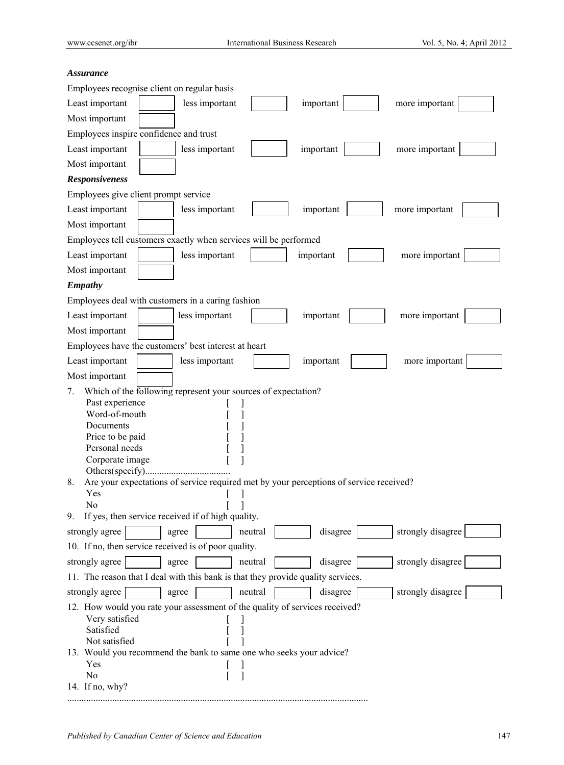# *Assurance*

| Employees recognise client on regular basis                                                         |  |  |  |  |
|-----------------------------------------------------------------------------------------------------|--|--|--|--|
| Least important<br>more important                                                                   |  |  |  |  |
| less important<br>important                                                                         |  |  |  |  |
| Most important                                                                                      |  |  |  |  |
| Employees inspire confidence and trust                                                              |  |  |  |  |
| Least important<br>important<br>more important<br>less important                                    |  |  |  |  |
| Most important                                                                                      |  |  |  |  |
| <b>Responsiveness</b>                                                                               |  |  |  |  |
| Employees give client prompt service                                                                |  |  |  |  |
| Least important<br>less important<br>more important<br>important                                    |  |  |  |  |
| Most important                                                                                      |  |  |  |  |
| Employees tell customers exactly when services will be performed                                    |  |  |  |  |
| Least important<br>less important<br>more important<br>important                                    |  |  |  |  |
| Most important                                                                                      |  |  |  |  |
| <b>Empathy</b>                                                                                      |  |  |  |  |
| Employees deal with customers in a caring fashion                                                   |  |  |  |  |
| Least important<br>less important<br>more important<br>important                                    |  |  |  |  |
| Most important                                                                                      |  |  |  |  |
| Employees have the customers' best interest at heart                                                |  |  |  |  |
| Least important<br>less important<br>important<br>more important                                    |  |  |  |  |
| Most important                                                                                      |  |  |  |  |
| Which of the following represent your sources of expectation?<br>7.                                 |  |  |  |  |
| Past experience                                                                                     |  |  |  |  |
| Word-of-mouth<br>Documents                                                                          |  |  |  |  |
| Price to be paid                                                                                    |  |  |  |  |
| Personal needs                                                                                      |  |  |  |  |
| Corporate image                                                                                     |  |  |  |  |
| Others(specify)                                                                                     |  |  |  |  |
| Are your expectations of service required met by your perceptions of service received?<br>8.<br>Yes |  |  |  |  |
| No                                                                                                  |  |  |  |  |
| If yes, then service received if of high quality.<br>9.                                             |  |  |  |  |
| strongly disagree<br>disagree<br>strongly agree<br>neutral<br>agree                                 |  |  |  |  |
| 10. If no, then service received is of poor quality.                                                |  |  |  |  |
| strongly disagree<br>strongly agree<br>disagree<br>agree<br>neutral                                 |  |  |  |  |
| 11. The reason that I deal with this bank is that they provide quality services.                    |  |  |  |  |
| strongly disagree<br>neutral<br>disagree<br>strongly agree<br>agree                                 |  |  |  |  |
| 12. How would you rate your assessment of the quality of services received?                         |  |  |  |  |
| Very satisfied                                                                                      |  |  |  |  |
| Satisfied                                                                                           |  |  |  |  |
| Not satisfied<br>13. Would you recommend the bank to same one who seeks your advice?                |  |  |  |  |
| Yes                                                                                                 |  |  |  |  |
| N <sub>0</sub>                                                                                      |  |  |  |  |
| 14. If no, why?                                                                                     |  |  |  |  |

...............................................................................................................................